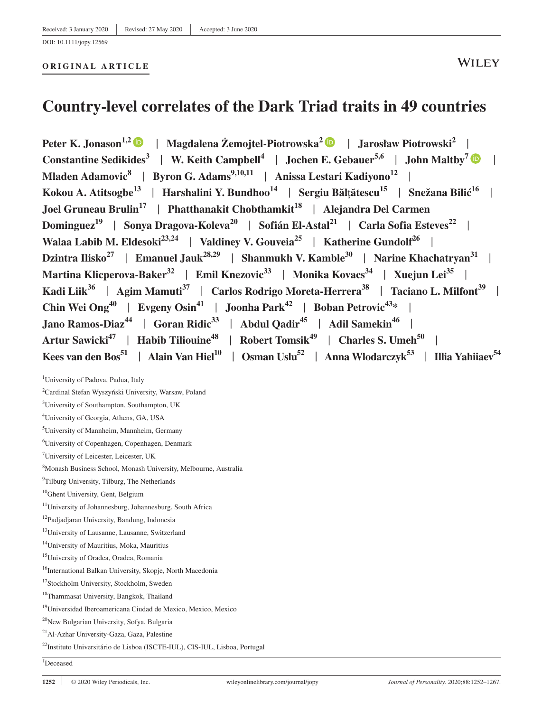#### **ORIGINAL ARTICLE**

## **WILEY**

# **Country-level correlates of the Dark Triad traits in 49 countries**

**Peter K. Jonason1,[2](https://orcid.org/0000-0002-8833-048X)** | **Magdalena Żemojtel-Piotrowska2** | **Jarosław Piotrowski<sup>2</sup>** [|](https://orcid.org/0000-0002-0621-9359) **Constantine Sedikides<sup>3</sup> | W. Keith Campbell<sup>4</sup> | Jochen E. Gebauer<sup>5,6</sup> | John Maltby<sup>7</sup> | | Mladen Adamovic<sup>8</sup> | Byron G. Adams**<sup>9,10,11</sup> | Anissa Lestari Kadiyono<sup>12</sup> | **Kokou A. Atitsogbe13** | **Harshalini Y. Bundhoo14** | **Sergiu Băl**ț**ătescu15** | **Snežana Bilić16** | **Joel Gruneau Brulin<sup>17</sup> | Phatthanakit Chobthamkit<sup>18</sup> | Alejandra Del Carmen Dominguez<sup>19</sup>** | **Sonya Dragova-Koleva<sup>20</sup>** | **Sofián El-Astal<sup>21</sup>** | **Carla Sofia Esteves22** | Walaa Labib M. Eldesoki<sup>23,24</sup> | Valdiney V. Gouveia<sup>25</sup> | Katherine Gundolf<sup>26</sup> | **Dzintra Ilisko<sup>27</sup>** | **Emanuel Jauk28,29** | **Shanmukh V. Kamble30** | **Narine Khachatryan<sup>31</sup>** | **Martina Klicperova-Baker<sup>32</sup>** | **Emil Knezovic33** | **Monika Kovacs34** | **Xuejun Lei35** | **Kadi Liik<sup>36</sup>** | **Agim Mamuti37** | **Carlos Rodrigo Moreta-Herrera<sup>38</sup>** | **Taciano L. Milfont39** | **Chin Wei Ong**<sup>40</sup> | Evgeny Osin<sup>41</sup> | Joonha Park<sup>42</sup> | Boban Petrovic<sup>43</sup>\* | **Jano Ramos-Diaz**<sup>44</sup> | Goran Ridic<sup>33</sup> | Abdul Qadir<sup>45</sup> | Adil Samekin<sup>46</sup> | Artur Sawicki<sup>47</sup> | Habib Tiliouine<sup>48</sup> | Robert Tomsik<sup>49</sup> | Charles S. Umeh<sup>50</sup> Kees van den Bos<sup>51</sup> | Alain Van Hiel<sup>10</sup> | Osman Uslu<sup>52</sup> | Anna Wlodarczyk<sup>53</sup> | Illia Yahiiaev<sup>54</sup>

<sup>1</sup>University of Padova, Padua, Italy

2 Cardinal Stefan Wyszyński University, Warsaw, Poland

<sup>3</sup>University of Southampton, Southampton, UK

4 University of Georgia, Athens, GA, USA

5 University of Mannheim, Mannheim, Germany

6 University of Copenhagen, Copenhagen, Denmark

7 University of Leicester, Leicester, UK

8 Monash Business School, Monash University, Melbourne, Australia

<sup>9</sup>Tilburg University, Tilburg, The Netherlands

<sup>10</sup>Ghent University, Gent, Belgium

<sup>11</sup>University of Johannesburg, Johannesburg, South Africa

<sup>12</sup>Padjadjaran University, Bandung, Indonesia

<sup>13</sup>University of Lausanne, Lausanne, Switzerland

14University of Mauritius, Moka, Mauritius

15University of Oradea, Oradea, Romania

<sup>16</sup>International Balkan University, Skopje, North Macedonia

<sup>17</sup>Stockholm University, Stockholm, Sweden

18Thammasat University, Bangkok, Thailand

19Universidad Iberoamericana Ciudad de Mexico, Mexico, Mexico

20New Bulgarian University, Sofya, Bulgaria

21Al-Azhar University-Gaza, Gaza, Palestine

22Instituto Universitário de Lisboa (ISCTE-IUL), CIS-IUL, Lisboa, Portugal

† Deceased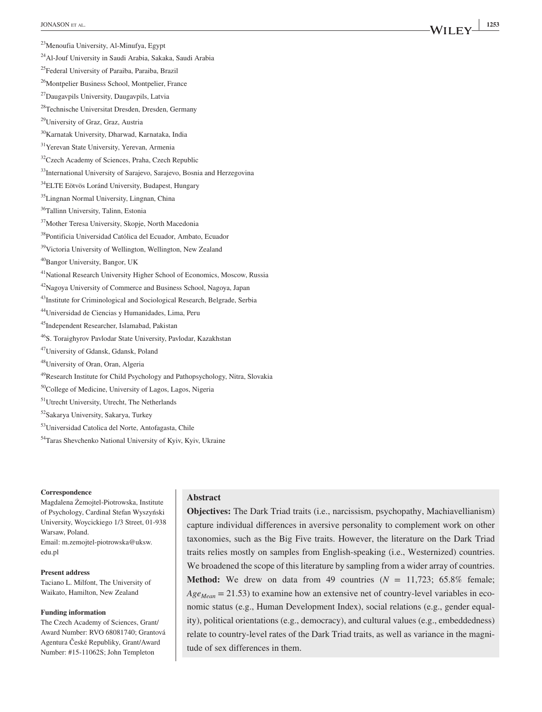24Al-Jouf University in Saudi Arabia, Sakaka, Saudi Arabia

25Federal University of Paraiba, Paraiba, Brazil

<sup>26</sup>Montpelier Business School, Montpelier, France

27Daugavpils University, Daugavpils, Latvia

28Technische Universitat Dresden, Dresden, Germany

29University of Graz, Graz, Austria

30Karnatak University, Dharwad, Karnataka, India

31Yerevan State University, Yerevan, Armenia

<sup>32</sup>Czech Academy of Sciences, Praha, Czech Republic

<sup>33</sup>International University of Sarajevo, Sarajevo, Bosnia and Herzegovina

34ELTE Eötvös Loránd University, Budapest, Hungary

35Lingnan Normal University, Lingnan, China

36Tallinn University, Talinn, Estonia

37Mother Teresa University, Skopje, North Macedonia

38Pontificia Universidad Católica del Ecuador, Ambato, Ecuador

39Victoria University of Wellington, Wellington, New Zealand

40Bangor University, Bangor, UK

41National Research University Higher School of Economics, Moscow, Russia

42Nagoya University of Commerce and Business School, Nagoya, Japan

<sup>43</sup>Institute for Criminological and Sociological Research, Belgrade, Serbia

44Universidad de Ciencias y Humanidades, Lima, Peru

45Independent Researcher, Islamabad, Pakistan

46S. Toraighyrov Pavlodar State University, Pavlodar, Kazakhstan

47University of Gdansk, Gdansk, Poland

48University of Oran, Oran, Algeria

49Research Institute for Child Psychology and Pathopsychology, Nitra, Slovakia

50College of Medicine, University of Lagos, Lagos, Nigeria

51Utrecht University, Utrecht, The Netherlands

52Sakarya University, Sakarya, Turkey

53Universidad Catolica del Norte, Antofagasta, Chile

54Taras Shevchenko National University of Kyiv, Kyiv, Ukraine

#### **Correspondence**

Magdalena Żemojtel-Piotrowska, Institute of Psychology, Cardinal Stefan Wyszyński University, Woycickiego 1/3 Street, 01-938 Warsaw, Poland. Email: [m.zemojtel-piotrowska@uksw.](mailto:m.zemojtel-piotrowska@uksw.edu.pl) [edu.pl](mailto:m.zemojtel-piotrowska@uksw.edu.pl)

**Present address** Taciano L. Milfont, The University of Waikato, Hamilton, New Zealand

#### **Funding information**

The Czech Academy of Sciences, Grant/ Award Number: RVO 68081740; Grantová Agentura České Republiky, Grant/Award Number: #15-11062S; John Templeton

#### **Abstract**

**Objectives:** The Dark Triad traits (i.e., narcissism, psychopathy, Machiavellianism) capture individual differences in aversive personality to complement work on other taxonomies, such as the Big Five traits. However, the literature on the Dark Triad traits relies mostly on samples from English-speaking (i.e., Westernized) countries. We broadened the scope of this literature by sampling from a wider array of countries. **Method:** We drew on data from 49 countries  $(N = 11,723; 65.8\%$  female;  $Age_{Mean} = 21.53$ ) to examine how an extensive net of country-level variables in economic status (e.g., Human Development Index), social relations (e.g., gender equality), political orientations (e.g., democracy), and cultural values (e.g., embeddedness) relate to country-level rates of the Dark Triad traits, as well as variance in the magnitude of sex differences in them.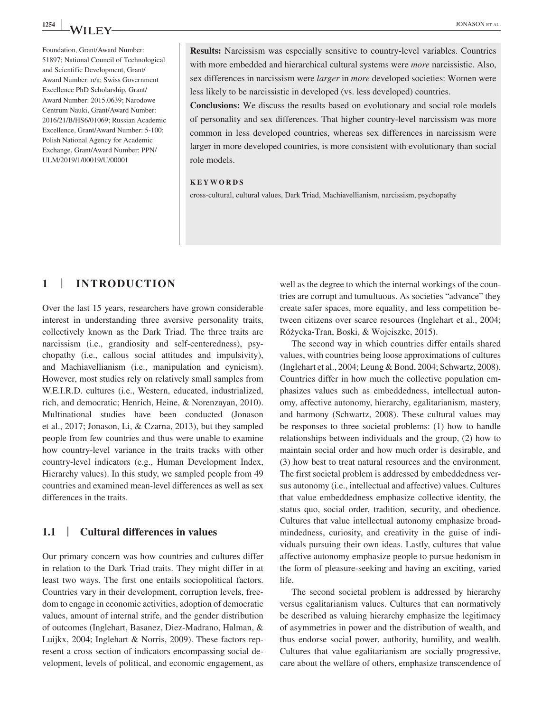Foundation, Grant/Award Number: 51897; National Council of Technological and Scientific Development, Grant/ Award Number: n/a; Swiss Government Excellence PhD Scholarship, Grant/ Award Number: 2015.0639; Narodowe Centrum Nauki, Grant/Award Number: 2016/21/B/HS6/01069; Russian Academic Excellence, Grant/Award Number: 5-100; Polish National Agency for Academic Exchange, Grant/Award Number: PPN/ ULM/2019/1/00019/U/00001

**Results:** Narcissism was especially sensitive to country-level variables. Countries with more embedded and hierarchical cultural systems were *more* narcissistic. Also, sex differences in narcissism were *larger* in *more* developed societies: Women were less likely to be narcissistic in developed (vs. less developed) countries.

**Conclusions:** We discuss the results based on evolutionary and social role models of personality and sex differences. That higher country-level narcissism was more common in less developed countries, whereas sex differences in narcissism were larger in more developed countries, is more consistent with evolutionary than social role models.

#### **KEYWORDS**

cross-cultural, cultural values, Dark Triad, Machiavellianism, narcissism, psychopathy

## **1** | **INTRODUCTION**

Over the last 15 years, researchers have grown considerable interest in understanding three aversive personality traits, collectively known as the Dark Triad. The three traits are narcissism (i.e., grandiosity and self-centeredness), psychopathy (i.e., callous social attitudes and impulsivity), and Machiavellianism (i.e., manipulation and cynicism). However, most studies rely on relatively small samples from W.E.I.R.D. cultures (i.e., Western, educated, industrialized, rich, and democratic; Henrich, Heine, & Norenzayan, 2010). Multinational studies have been conducted (Jonason et al., 2017; Jonason, Li, & Czarna, 2013), but they sampled people from few countries and thus were unable to examine how country-level variance in the traits tracks with other country-level indicators (e.g., Human Development Index, Hierarchy values). In this study, we sampled people from 49 countries and examined mean-level differences as well as sex differences in the traits.

## **1.1** | **Cultural differences in values**

Our primary concern was how countries and cultures differ in relation to the Dark Triad traits. They might differ in at least two ways. The first one entails sociopolitical factors. Countries vary in their development, corruption levels, freedom to engage in economic activities, adoption of democratic values, amount of internal strife, and the gender distribution of outcomes (Inglehart, Basanez, Diez-Madrano, Halman, & Luijkx, 2004; Inglehart & Norris, 2009). These factors represent a cross section of indicators encompassing social development, levels of political, and economic engagement, as

well as the degree to which the internal workings of the countries are corrupt and tumultuous. As societies "advance" they create safer spaces, more equality, and less competition between citizens over scarce resources (Inglehart et al., 2004; Różycka-Tran, Boski, & Wojciszke, 2015).

The second way in which countries differ entails shared values, with countries being loose approximations of cultures (Inglehart et al., 2004; Leung & Bond, 2004; Schwartz, 2008). Countries differ in how much the collective population emphasizes values such as embeddedness, intellectual autonomy, affective autonomy, hierarchy, egalitarianism, mastery, and harmony (Schwartz, 2008). These cultural values may be responses to three societal problems: (1) how to handle relationships between individuals and the group, (2) how to maintain social order and how much order is desirable, and (3) how best to treat natural resources and the environment. The first societal problem is addressed by embeddedness versus autonomy (i.e., intellectual and affective) values. Cultures that value embeddedness emphasize collective identity, the status quo, social order, tradition, security, and obedience. Cultures that value intellectual autonomy emphasize broadmindedness, curiosity, and creativity in the guise of individuals pursuing their own ideas. Lastly, cultures that value affective autonomy emphasize people to pursue hedonism in the form of pleasure-seeking and having an exciting, varied life.

The second societal problem is addressed by hierarchy versus egalitarianism values. Cultures that can normatively be described as valuing hierarchy emphasize the legitimacy of asymmetries in power and the distribution of wealth, and thus endorse social power, authority, humility, and wealth. Cultures that value egalitarianism are socially progressive, care about the welfare of others, emphasize transcendence of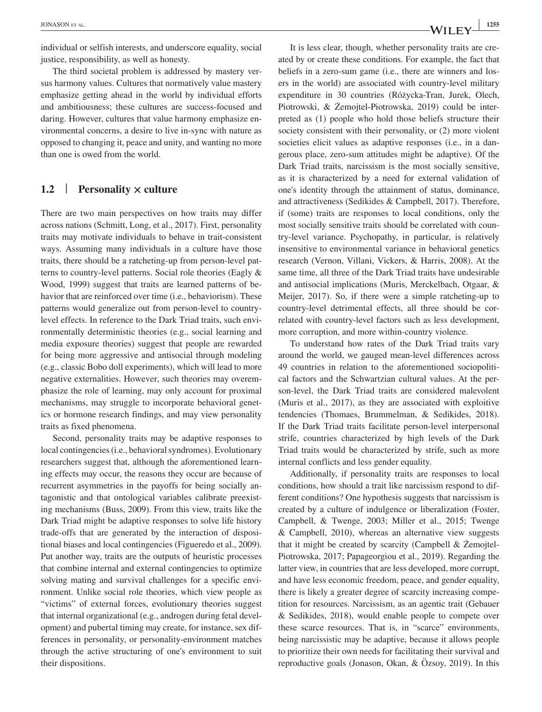individual or selfish interests, and underscore equality, social justice, responsibility, as well as honesty.

The third societal problem is addressed by mastery versus harmony values. Cultures that normatively value mastery emphasize getting ahead in the world by individual efforts and ambitiousness; these cultures are success-focused and daring. However, cultures that value harmony emphasize environmental concerns, a desire to live in-sync with nature as opposed to changing it, peace and unity, and wanting no more than one is owed from the world.

## **1.2** | **Personality × culture**

There are two main perspectives on how traits may differ across nations (Schmitt, Long, et al., 2017). First, personality traits may motivate individuals to behave in trait-consistent ways. Assuming many individuals in a culture have those traits, there should be a ratcheting-up from person-level patterns to country-level patterns. Social role theories (Eagly & Wood, 1999) suggest that traits are learned patterns of behavior that are reinforced over time (i.e., behaviorism). These patterns would generalize out from person-level to countrylevel effects. In reference to the Dark Triad traits, such environmentally deterministic theories (e.g., social learning and media exposure theories) suggest that people are rewarded for being more aggressive and antisocial through modeling (e.g., classic Bobo doll experiments), which will lead to more negative externalities. However, such theories may overemphasize the role of learning, may only account for proximal mechanisms, may struggle to incorporate behavioral genetics or hormone research findings, and may view personality traits as fixed phenomena.

Second, personality traits may be adaptive responses to local contingencies (i.e., behavioral syndromes). Evolutionary researchers suggest that, although the aforementioned learning effects may occur, the reasons they occur are because of recurrent asymmetries in the payoffs for being socially antagonistic and that ontological variables calibrate preexisting mechanisms (Buss, 2009). From this view, traits like the Dark Triad might be adaptive responses to solve life history trade-offs that are generated by the interaction of dispositional biases and local contingencies (Figueredo et al., 2009). Put another way, traits are the outputs of heuristic processes that combine internal and external contingencies to optimize solving mating and survival challenges for a specific environment. Unlike social role theories, which view people as "victims" of external forces, evolutionary theories suggest that internal organizational (e.g., androgen during fetal development) and pubertal timing may create, for instance, sex differences in personality, or personality-environment matches through the active structuring of one's environment to suit their dispositions.

It is less clear, though, whether personality traits are created by or create these conditions. For example, the fact that beliefs in a zero-sum game (i.e., there are winners and losers in the world) are associated with country-level military expenditure in 30 countries (Różycka-Tran, Jurek, Olech, Piotrowski, & Żemojtel-Piotrowska, 2019) could be interpreted as (1) people who hold those beliefs structure their society consistent with their personality, or (2) more violent societies elicit values as adaptive responses (i.e., in a dangerous place, zero-sum attitudes might be adaptive). Of the Dark Triad traits, narcissism is the most socially sensitive, as it is characterized by a need for external validation of one's identity through the attainment of status, dominance, and attractiveness (Sedikides & Campbell, 2017). Therefore, if (some) traits are responses to local conditions, only the most socially sensitive traits should be correlated with country-level variance. Psychopathy, in particular, is relatively insensitive to environmental variance in behavioral genetics research (Vernon, Villani, Vickers, & Harris, 2008). At the same time, all three of the Dark Triad traits have undesirable and antisocial implications (Muris, Merckelbach, Otgaar, & Meijer, 2017). So, if there were a simple ratcheting-up to country-level detrimental effects, all three should be correlated with country-level factors such as less development, more corruption, and more within-country violence.

To understand how rates of the Dark Triad traits vary around the world, we gauged mean-level differences across 49 countries in relation to the aforementioned sociopolitical factors and the Schwartzian cultural values. At the person-level, the Dark Triad traits are considered malevolent (Muris et al., 2017), as they are associated with exploitive tendencies (Thomaes, Brummelman, & Sedikides, 2018). If the Dark Triad traits facilitate person-level interpersonal strife, countries characterized by high levels of the Dark Triad traits would be characterized by strife, such as more internal conflicts and less gender equality.

Additionally, if personality traits are responses to local conditions, how should a trait like narcissism respond to different conditions? One hypothesis suggests that narcissism is created by a culture of indulgence or liberalization (Foster, Campbell, & Twenge, 2003; Miller et al., 2015; Twenge & Campbell, 2010), whereas an alternative view suggests that it might be created by scarcity (Campbell & Żemojtel-Piotrowska, 2017; Papageorgiou et al., 2019). Regarding the latter view, in countries that are less developed, more corrupt, and have less economic freedom, peace, and gender equality, there is likely a greater degree of scarcity increasing competition for resources. Narcissism, as an agentic trait (Gebauer & Sedikides, 2018), would enable people to compete over these scarce resources. That is, in "scarce" environments, being narcissistic may be adaptive, because it allows people to prioritize their own needs for facilitating their survival and reproductive goals (Jonason, Okan, & Özsoy, 2019). In this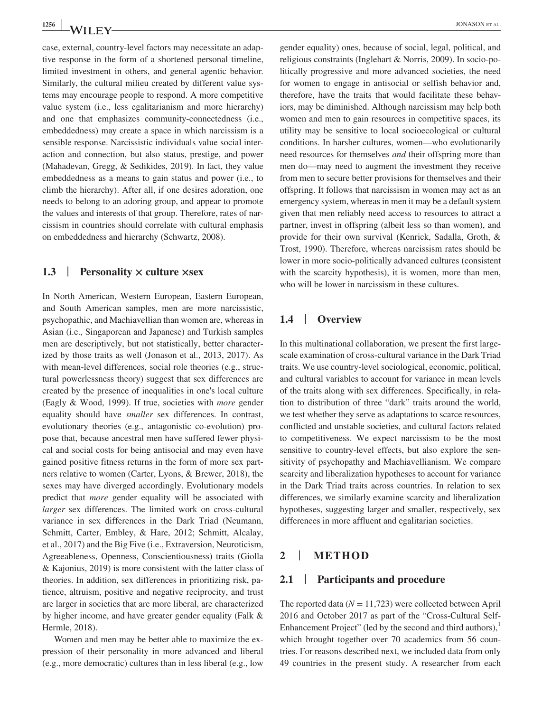case, external, country-level factors may necessitate an adaptive response in the form of a shortened personal timeline, limited investment in others, and general agentic behavior. Similarly, the cultural milieu created by different value systems may encourage people to respond. A more competitive value system (i.e., less egalitarianism and more hierarchy) and one that emphasizes community-connectedness (i.e., embeddedness) may create a space in which narcissism is a sensible response. Narcissistic individuals value social interaction and connection, but also status, prestige, and power (Mahadevan, Gregg, & Sedikides, 2019). In fact, they value embeddedness as a means to gain status and power (i.e., to climb the hierarchy). After all, if one desires adoration, one needs to belong to an adoring group, and appear to promote the values and interests of that group. Therefore, rates of narcissism in countries should correlate with cultural emphasis on embeddedness and hierarchy (Schwartz, 2008).

### **1.3** | **Personality × culture ×sex**

In North American, Western European, Eastern European, and South American samples, men are more narcissistic, psychopathic, and Machiavellian than women are, whereas in Asian (i.e., Singaporean and Japanese) and Turkish samples men are descriptively, but not statistically, better characterized by those traits as well (Jonason et al., 2013, 2017). As with mean-level differences, social role theories (e.g., structural powerlessness theory) suggest that sex differences are created by the presence of inequalities in one's local culture (Eagly & Wood, 1999). If true, societies with *more* gender equality should have *smaller* sex differences. In contrast, evolutionary theories (e.g., antagonistic co-evolution) propose that, because ancestral men have suffered fewer physical and social costs for being antisocial and may even have gained positive fitness returns in the form of more sex partners relative to women (Carter, Lyons, & Brewer, 2018), the sexes may have diverged accordingly. Evolutionary models predict that *more* gender equality will be associated with *larger* sex differences. The limited work on cross-cultural variance in sex differences in the Dark Triad (Neumann, Schmitt, Carter, Embley, & Hare, 2012; Schmitt, Alcalay, et al., 2017) and the Big Five (i.e., Extraversion, Neuroticism, Agreeableness, Openness, Conscientiousness) traits (Giolla & Kajonius, 2019) is more consistent with the latter class of theories. In addition, sex differences in prioritizing risk, patience, altruism, positive and negative reciprocity, and trust are larger in societies that are more liberal, are characterized by higher income, and have greater gender equality (Falk & Hermle, 2018).

Women and men may be better able to maximize the expression of their personality in more advanced and liberal (e.g., more democratic) cultures than in less liberal (e.g., low

gender equality) ones, because of social, legal, political, and religious constraints (Inglehart & Norris, 2009). In socio-politically progressive and more advanced societies, the need for women to engage in antisocial or selfish behavior and, therefore, have the traits that would facilitate these behaviors, may be diminished. Although narcissism may help both women and men to gain resources in competitive spaces, its utility may be sensitive to local socioecological or cultural conditions. In harsher cultures, women—who evolutionarily need resources for themselves *and* their offspring more than men do—may need to augment the investment they receive from men to secure better provisions for themselves and their offspring. It follows that narcissism in women may act as an emergency system, whereas in men it may be a default system given that men reliably need access to resources to attract a partner, invest in offspring (albeit less so than women), and provide for their own survival (Kenrick, Sadalla, Groth, & Trost, 1990). Therefore, whereas narcissism rates should be lower in more socio-politically advanced cultures (consistent with the scarcity hypothesis), it is women, more than men, who will be lower in narcissism in these cultures.

## **1.4** | **Overview**

In this multinational collaboration, we present the first largescale examination of cross-cultural variance in the Dark Triad traits. We use country-level sociological, economic, political, and cultural variables to account for variance in mean levels of the traits along with sex differences. Specifically, in relation to distribution of three "dark" traits around the world, we test whether they serve as adaptations to scarce resources, conflicted and unstable societies, and cultural factors related to competitiveness. We expect narcissism to be the most sensitive to country-level effects, but also explore the sensitivity of psychopathy and Machiavellianism. We compare scarcity and liberalization hypotheses to account for variance in the Dark Triad traits across countries. In relation to sex differences, we similarly examine scarcity and liberalization hypotheses, suggesting larger and smaller, respectively, sex differences in more affluent and egalitarian societies.

#### **2** | **METHOD**

#### **2.1** | **Participants and procedure**

The reported data  $(N = 11,723)$  were collected between April 2016 and October 2017 as part of the "Cross-Cultural Self-Enhancement Project" (led by the second and third authors), $\frac{1}{2}$ which brought together over 70 academics from 56 countries. For reasons described next, we included data from only 49 countries in the present study. A researcher from each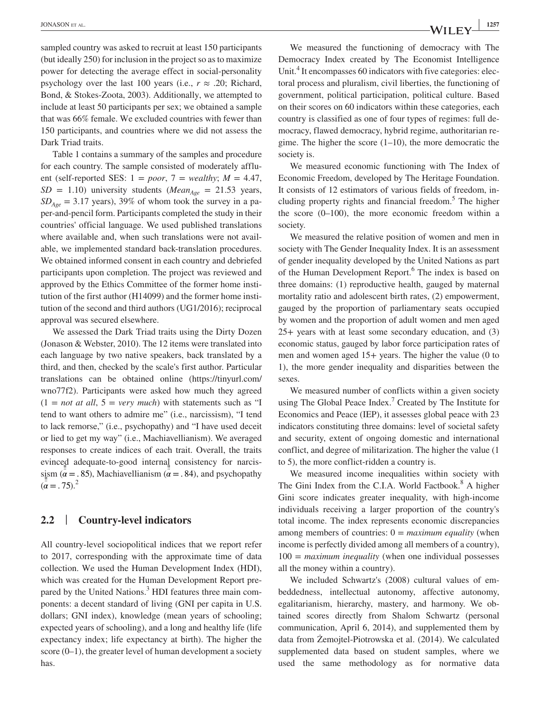sampled country was asked to recruit at least 150 participants (but ideally 250) for inclusion in the project so as to maximize power for detecting the average effect in social-personality psychology over the last 100 years (i.e.,  $r \approx .20$ ; Richard, Bond, & Stokes-Zoota, 2003). Additionally, we attempted to include at least 50 participants per sex; we obtained a sample that was 66% female. We excluded countries with fewer than 150 participants, and countries where we did not assess the Dark Triad traits.

Table 1 contains a summary of the samples and procedure for each country. The sample consisted of moderately affluent (self-reported SES:  $1 = poor$ ,  $7 = weakly$ ;  $M = 4.47$ ,  $SD = 1.10$ ) university students (*Mean<sub>Age</sub>* = 21.53 years,  $SD<sub>Aee</sub> = 3.17$  years), 39% of whom took the survey in a paper-and-pencil form. Participants completed the study in their countries' official language. We used published translations where available and, when such translations were not available, we implemented standard back-translation procedures. We obtained informed consent in each country and debriefed participants upon completion. The project was reviewed and approved by the Ethics Committee of the former home institution of the first author (H14099) and the former home institution of the second and third authors (UG1/2016); reciprocal approval was secured elsewhere.

We assessed the Dark Triad traits using the Dirty Dozen (Jonason & Webster, 2010). The 12 items were translated into each language by two native speakers, back translated by a third, and then, checked by the scale's first author. Particular translations can be obtained online [\(https://tinyurl.com/](https://tinyurl.com/wno77f2) [wno77f2](https://tinyurl.com/wno77f2)). Participants were asked how much they agreed  $(1 = not at all, 5 = very much)$  with statements such as "I tend to want others to admire me" (i.e., narcissism), "I tend to lack remorse," (i.e., psychopathy) and "I have used deceit or lied to get my way" (i.e., Machiavellianism). We averaged responses to create indices of each trait. Overall, the traits evinced adequate-to-good internal consistency for narcis-‼ ‼ sism ( $\alpha = 0.85$ ), Machiavellianism ( $\alpha = 0.84$ ), and psychopathy  $(\ddot{a} = .75)^2$ 

## **2.2** | **Country-level indicators**

All country-level sociopolitical indices that we report refer to 2017, corresponding with the approximate time of data collection. We used the Human Development Index (HDI), which was created for the Human Development Report prepared by the United Nations.<sup>3</sup> HDI features three main components: a decent standard of living (GNI per capita in U.S. dollars; GNI index), knowledge (mean years of schooling; expected years of schooling), and a long and healthy life (life expectancy index; life expectancy at birth). The higher the score (0–1), the greater level of human development a society has.

We measured the functioning of democracy with The Democracy Index created by The Economist Intelligence Unit.<sup>4</sup> It encompasses 60 indicators with five categories: electoral process and pluralism, civil liberties, the functioning of government, political participation, political culture. Based on their scores on 60 indicators within these categories, each country is classified as one of four types of regimes: full democracy, flawed democracy, hybrid regime, authoritarian regime. The higher the score  $(1-10)$ , the more democratic the society is.

We measured economic functioning with The Index of Economic Freedom, developed by The Heritage Foundation. It consists of 12 estimators of various fields of freedom, including property rights and financial freedom.<sup>5</sup> The higher the score  $(0-100)$ , the more economic freedom within a society.

We measured the relative position of women and men in society with The Gender Inequality Index. It is an assessment of gender inequality developed by the United Nations as part of the Human Development Report.<sup>6</sup> The index is based on three domains: (1) reproductive health, gauged by maternal mortality ratio and adolescent birth rates, (2) empowerment, gauged by the proportion of parliamentary seats occupied by women and the proportion of adult women and men aged 25+ years with at least some secondary education, and (3) economic status, gauged by labor force participation rates of men and women aged 15+ years. The higher the value (0 to 1), the more gender inequality and disparities between the sexes.

We measured number of conflicts within a given society using The Global Peace Index.<sup>7</sup> Created by The Institute for Economics and Peace (IEP), it assesses global peace with 23 indicators constituting three domains: level of societal safety and security, extent of ongoing domestic and international conflict, and degree of militarization. The higher the value (1 to 5), the more conflict-ridden a country is.

We measured income inequalities within society with The Gini Index from the C.I.A. World Factbook.<sup>8</sup> A higher Gini score indicates greater inequality, with high-income individuals receiving a larger proportion of the country's total income. The index represents economic discrepancies among members of countries:  $0 =$  *maximum equality* (when income is perfectly divided among all members of a country), 100 = *maximum inequality* (when one individual possesses all the money within a country).

We included Schwartz's (2008) cultural values of embeddedness, intellectual autonomy, affective autonomy, egalitarianism, hierarchy, mastery, and harmony. We obtained scores directly from Shalom Schwartz (personal communication, April 6, 2014), and supplemented them by data from Żemojtel-Piotrowska et al. (2014). We calculated supplemented data based on student samples, where we used the same methodology as for normative data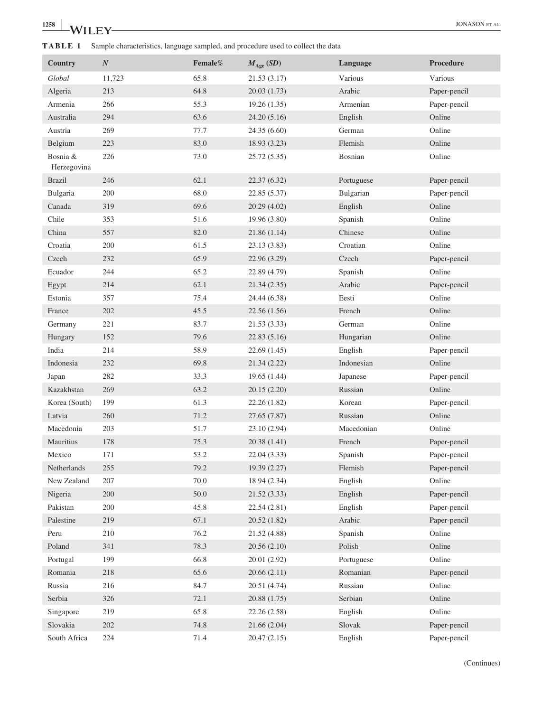# **1258 WILEY CONSON ET AL.**

**TABLE 1** Sample characteristics, language sampled, and procedure used to collect the data

| Country                 | $\boldsymbol{N}$ | Female% | $M_{\text{Age}}$ (SD) | Language   | <b>Procedure</b> |
|-------------------------|------------------|---------|-----------------------|------------|------------------|
| Global                  | 11,723           | 65.8    | 21.53 (3.17)          | Various    | Various          |
| Algeria                 | 213              | 64.8    | 20.03(1.73)           | Arabic     | Paper-pencil     |
| Armenia                 | 266              | 55.3    | 19.26(1.35)           | Armenian   | Paper-pencil     |
| Australia               | 294              | 63.6    | 24.20 (5.16)          | English    | Online           |
| Austria                 | 269              | 77.7    | 24.35 (6.60)          | German     | Online           |
| Belgium                 | 223              | 83.0    | 18.93 (3.23)          | Flemish    | Online           |
| Bosnia &<br>Herzegovina | 226              | 73.0    | 25.72 (5.35)          | Bosnian    | Online           |
| <b>Brazil</b>           | 246              | 62.1    | 22.37 (6.32)          | Portuguese | Paper-pencil     |
| Bulgaria                | 200              | 68.0    | 22.85 (5.37)          | Bulgarian  | Paper-pencil     |
| Canada                  | 319              | 69.6    | 20.29 (4.02)          | English    | Online           |
| Chile                   | 353              | 51.6    | 19.96 (3.80)          | Spanish    | Online           |
| China                   | 557              | 82.0    | 21.86(1.14)           | Chinese    | Online           |
| Croatia                 | 200              | 61.5    | 23.13 (3.83)          | Croatian   | Online           |
| Czech                   | 232              | 65.9    | 22.96 (3.29)          | Czech      | Paper-pencil     |
| Ecuador                 | 244              | 65.2    | 22.89 (4.79)          | Spanish    | Online           |
| Egypt                   | 214              | 62.1    | 21.34(2.35)           | Arabic     | Paper-pencil     |
| Estonia                 | 357              | 75.4    | 24.44 (6.38)          | Eesti      | Online           |
| France                  | 202              | 45.5    | 22.56 (1.56)          | French     | Online           |
| Germany                 | 221              | 83.7    | 21.53 (3.33)          | German     | Online           |
| Hungary                 | 152              | 79.6    | 22.83(5.16)           | Hungarian  | Online           |
| India                   | 214              | 58.9    | 22.69 (1.45)          | English    | Paper-pencil     |
| Indonesia               | 232              | 69.8    | 21.34(2.22)           | Indonesian | Online           |
| Japan                   | 282              | 33.3    | 19.65 (1.44)          | Japanese   | Paper-pencil     |
| Kazakhstan              | 269              | 63.2    | 20.15 (2.20)          | Russian    | Online           |
| Korea (South)           | 199              | 61.3    | 22.26 (1.82)          | Korean     | Paper-pencil     |
| Latvia                  | 260              | 71.2    | 27.65 (7.87)          | Russian    | Online           |
| Macedonia               | 203              | 51.7    | 23.10 (2.94)          | Macedonian | Online           |
| Mauritius               | 178              | 75.3    | 20.38 (1.41)          | French     | Paper-pencil     |
| Mexico                  | 171              | 53.2    | 22.04 (3.33)          | Spanish    | Paper-pencil     |
| Netherlands             | 255              | 79.2    | 19.39 (2.27)          | Flemish    | Paper-pencil     |
| New Zealand             | 207              | 70.0    | 18.94 (2.34)          | English    | Online           |
| Nigeria                 | 200              | 50.0    | 21.52(3.33)           | English    | Paper-pencil     |
| Pakistan                | 200              | 45.8    | 22.54 (2.81)          | English    | Paper-pencil     |
| Palestine               | 219              | 67.1    | 20.52 (1.82)          | Arabic     | Paper-pencil     |
| Peru                    | 210              | 76.2    | 21.52 (4.88)          | Spanish    | Online           |
| Poland                  | 341              | 78.3    | 20.56(2.10)           | Polish     | Online           |
| Portugal                | 199              | 66.8    | 20.01 (2.92)          | Portuguese | Online           |
| Romania                 | 218              | 65.6    | 20.66(2.11)           | Romanian   | Paper-pencil     |
| Russia                  | 216              | 84.7    | 20.51 (4.74)          | Russian    | Online           |
| Serbia                  | 326              | 72.1    | 20.88 (1.75)          | Serbian    | Online           |
| Singapore               | 219              | 65.8    | 22.26 (2.58)          | English    | Online           |
| Slovakia                | 202              | 74.8    | 21.66 (2.04)          | Slovak     | Paper-pencil     |
| South Africa            | 224              | 71.4    | 20.47 (2.15)          | English    | Paper-pencil     |

(Continues)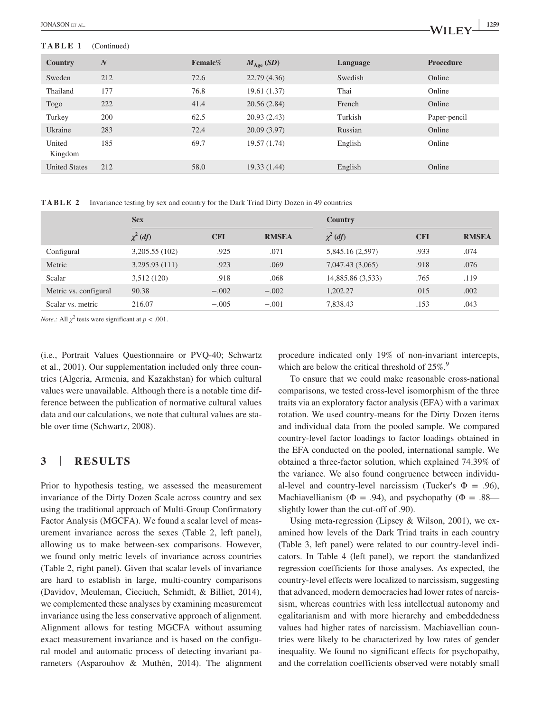#### **TABLE 1** (Continued)

| Country              | $\boldsymbol{N}$ | Female% | $M_{\text{Age}}$ (SD) | Language | <b>Procedure</b> |
|----------------------|------------------|---------|-----------------------|----------|------------------|
| Sweden               | 212              | 72.6    | 22.79(4.36)           | Swedish  | Online           |
| Thailand             | 177              | 76.8    | 19.61 (1.37)          | Thai     | Online           |
| Togo                 | 222              | 41.4    | 20.56(2.84)           | French   | Online           |
| Turkey               | 200              | 62.5    | 20.93(2.43)           | Turkish  | Paper-pencil     |
| Ukraine              | 283              | 72.4    | 20.09(3.97)           | Russian  | Online           |
| United<br>Kingdom    | 185              | 69.7    | 19.57 (1.74)          | English  | Online           |
| <b>United States</b> | 212              | 58.0    | 19.33(1.44)           | English  | Online           |

**TABLE 2** Invariance testing by sex and country for the Dark Triad Dirty Dozen in 49 countries

|                       | <b>Sex</b>    |            |              | <b>Country</b>    |            |              |  |  |
|-----------------------|---------------|------------|--------------|-------------------|------------|--------------|--|--|
|                       | $\chi^2$ (df) | <b>CFI</b> | <b>RMSEA</b> | $\chi^2$ (df)     | <b>CFI</b> | <b>RMSEA</b> |  |  |
| Configural            | 3,205.55(102) | .925       | .071         | 5,845.16 (2,597)  | .933       | .074         |  |  |
| Metric                | 3,295.93(111) | .923       | .069         | 7,047.43 (3,065)  | .918       | .076         |  |  |
| Scalar                | 3,512(120)    | .918       | .068         | 14,885.86 (3,533) | .765       | .119         |  |  |
| Metric vs. configural | 90.38         | $-.002$    | $-.002$      | 1.202.27          | .015       | .002         |  |  |
| Scalar vs. metric     | 216.07        | $-.005$    | $-.001$      | 7,838.43          | .153       | .043         |  |  |

*Note.:* All  $\chi^2$  tests were significant at  $p < .001$ .

(i.e., Portrait Values Questionnaire or PVQ-40; Schwartz et al., 2001). Our supplementation included only three countries (Algeria, Armenia, and Kazakhstan) for which cultural values were unavailable. Although there is a notable time difference between the publication of normative cultural values data and our calculations, we note that cultural values are stable over time (Schwartz, 2008).

## **3** | **RESULTS**

Prior to hypothesis testing, we assessed the measurement invariance of the Dirty Dozen Scale across country and sex using the traditional approach of Multi-Group Confirmatory Factor Analysis (MGCFA). We found a scalar level of measurement invariance across the sexes (Table 2, left panel), allowing us to make between-sex comparisons. However, we found only metric levels of invariance across countries (Table 2, right panel). Given that scalar levels of invariance are hard to establish in large, multi-country comparisons (Davidov, Meuleman, Cieciuch, Schmidt, & Billiet, 2014), we complemented these analyses by examining measurement invariance using the less conservative approach of alignment. Alignment allows for testing MGCFA without assuming exact measurement invariance and is based on the configural model and automatic process of detecting invariant parameters (Asparouhov & Muthén, 2014). The alignment procedure indicated only 19% of non-invariant intercepts, which are below the critical threshold of  $25\%$ .<sup>9</sup>

To ensure that we could make reasonable cross-national comparisons, we tested cross-level isomorphism of the three traits via an exploratory factor analysis (EFA) with a varimax rotation. We used country-means for the Dirty Dozen items and individual data from the pooled sample. We compared country-level factor loadings to factor loadings obtained in the EFA conducted on the pooled, international sample. We obtained a three-factor solution, which explained 74.39% of the variance. We also found congruence between individual-level and country-level narcissism (Tucker's  $\Phi = .96$ ), Machiavellianism ( $\Phi = .94$ ), and psychopathy ( $\Phi = .88$  slightly lower than the cut-off of .90).

Using meta-regression (Lipsey & Wilson, 2001), we examined how levels of the Dark Triad traits in each country (Table 3, left panel) were related to our country-level indicators. In Table 4 (left panel), we report the standardized regression coefficients for those analyses. As expected, the country-level effects were localized to narcissism, suggesting that advanced, modern democracies had lower rates of narcissism, whereas countries with less intellectual autonomy and egalitarianism and with more hierarchy and embeddedness values had higher rates of narcissism. Machiavellian countries were likely to be characterized by low rates of gender inequality. We found no significant effects for psychopathy, and the correlation coefficients observed were notably small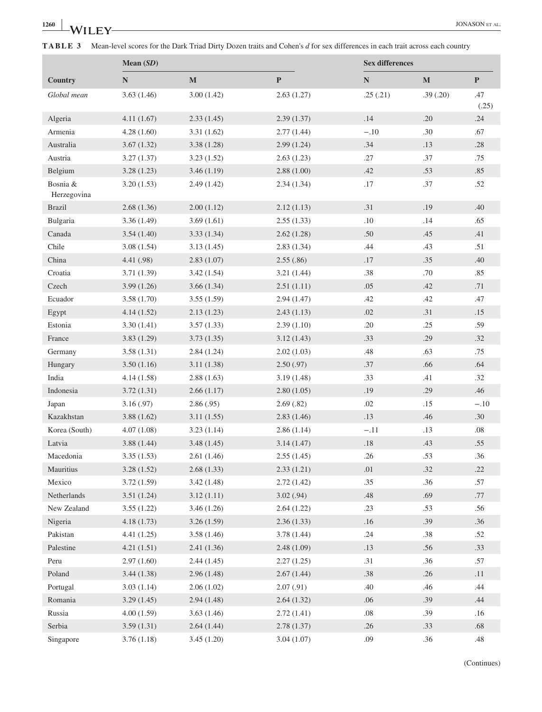**TABLE 3** Mean-level scores for the Dark Triad Dirty Dozen traits and Cohen's *d* for sex differences in each trait across each country

|                         | Mean $(SD)$ |             | <b>Sex differences</b> |           |             |              |
|-------------------------|-------------|-------------|------------------------|-----------|-------------|--------------|
| Country                 | ${\bf N}$   | $\mathbf M$ | $\mathbf{P}$           | ${\bf N}$ | $\mathbf M$ | $\mathbf P$  |
| Global mean             | 3.63(1.46)  | 3.00(1.42)  | 2.63(1.27)             | .25(.21)  | .39(.20)    | .47<br>(.25) |
| Algeria                 | 4.11(1.67)  | 2.33(1.45)  | 2.39(1.37)             | .14       | .20         | .24          |
| Armenia                 | 4.28(1.60)  | 3.31(1.62)  | 2.77(1.44)             | $-.10$    | .30         | .67          |
| Australia               | 3.67(1.32)  | 3.38(1.28)  | 2.99(1.24)             | .34       | .13         | $.28\,$      |
| Austria                 | 3.27(1.37)  | 3.23(1.52)  | 2.63(1.23)             | .27       | .37         | .75          |
| Belgium                 | 3.28(1.23)  | 3.46(1.19)  | 2.88(1.00)             | .42       | .53         | .85          |
| Bosnia &<br>Herzegovina | 3.20(1.53)  | 2.49(1.42)  | 2.34(1.34)             | .17       | .37         | .52          |
| <b>Brazil</b>           | 2.68(1.36)  | 2.00(1.12)  | 2.12(1.13)             | .31       | .19         | .40          |
| Bulgaria                | 3.36 (1.49) | 3.69(1.61)  | 2.55(1.33)             | .10       | .14         | .65          |
| Canada                  | 3.54(1.40)  | 3.33(1.34)  | 2.62(1.28)             | .50       | .45         | .41          |
| Chile                   | 3.08(1.54)  | 3.13(1.45)  | 2.83(1.34)             | .44       | .43         | .51          |
| China                   | 4.41 (.98)  | 2.83(1.07)  | 2.55(.86)              | .17       | .35         | .40          |
| Croatia                 | 3.71(1.39)  | 3.42(1.54)  | 3.21(1.44)             | .38       | .70         | .85          |
| Czech                   | 3.99(1.26)  | 3.66(1.34)  | 2.51(1.11)             | .05       | .42         | .71          |
| Ecuador                 | 3.58(1.70)  | 3.55(1.59)  | 2.94(1.47)             | .42       | .42         | .47          |
| Egypt                   | 4.14(1.52)  | 2.13(1.23)  | 2.43(1.13)             | .02       | .31         | .15          |
| Estonia                 | 3.30(1.41)  | 3.57(1.33)  | 2.39(1.10)             | .20       | .25         | .59          |
| France                  | 3.83(1.29)  | 3.73(1.35)  | 3.12(1.43)             | .33       | .29         | .32          |
| Germany                 | 3.58(1.31)  | 2.84(1.24)  | 2.02(1.03)             | .48       | .63         | .75          |
| Hungary                 | 3.50(1.16)  | 3.11(1.38)  | 2.50(.97)              | .37       | .66         | .64          |
| India                   | 4.14(1.58)  | 2.88(1.63)  | 3.19(1.48)             | .33       | .41         | .32          |
| Indonesia               | 3.72(1.31)  | 2.66(1.17)  | 2.80(1.05)             | .19       | .29         | .46          |
| Japan                   | 3.16(0.97)  | 2.86(.95)   | 2.69(.82)              | .02       | .15         | $-.10$       |
| Kazakhstan              | 3.88(1.62)  | 3.11(1.55)  | 2.83(1.46)             | .13       | .46         | .30          |
| Korea (South)           | 4.07(1.08)  | 3.23(1.14)  | 2.86(1.14)             | $-.11$    | .13         | $.08\,$      |
| Latvia                  | 3.88(1.44)  | 3.48(1.45)  | 3.14(1.47)             | .18       | .43         | .55          |
| Macedonia               | 3.35(1.53)  | 2.61(1.46)  | 2.55(1.45)             | .26       | .53         | .36          |
| Mauritius               | 3.28(1.52)  | 2.68(1.33)  | 2.33(1.21)             | $.01\,$   | $.32\,$     | .22          |
| Mexico                  | 3.72(1.59)  | 3.42(1.48)  | 2.72(1.42)             | .35       | .36         | .57          |
| Netherlands             | 3.51(1.24)  | 3.12(1.11)  | 3.02(.94)              | .48       | .69         | .77          |
| New Zealand             | 3.55(1.22)  | 3.46(1.26)  | 2.64(1.22)             | .23       | .53         | .56          |
| Nigeria                 | 4.18(1.73)  | 3.26(1.59)  | 2.36(1.33)             | .16       | .39         | .36          |
| Pakistan                | 4.41(1.25)  | 3.58(1.46)  | 3.78(1.44)             | .24       | .38         | .52          |
| Palestine               | 4.21(1.51)  | 2.41(1.36)  | 2.48(1.09)             | .13       | .56         | .33          |
| Peru                    | 2.97(1.60)  | 2.44(1.45)  | 2.27(1.25)             | .31       | .36         | .57          |
| Poland                  | 3.44(1.38)  | 2.96(1.48)  | 2.67(1.44)             | .38       | .26         | .11          |
| Portugal                | 3.03(1.14)  | 2.06(1.02)  | 2.07(.91)              | .40       | .46         | .44          |
| Romania                 | 3.29(1.45)  | 2.94(1.48)  | 2.64(1.32)             | .06       | .39         | .44          |
| Russia                  | 4.00(1.59)  | 3.63(1.46)  | 2.72(1.41)             | $.08\,$   | .39         | .16          |
| Serbia                  | 3.59(1.31)  | 2.64(1.44)  | 2.78(1.37)             | .26       | .33         | $.68$        |
| Singapore               | 3.76(1.18)  | 3.45(1.20)  | 3.04(1.07)             | .09       | .36         | .48          |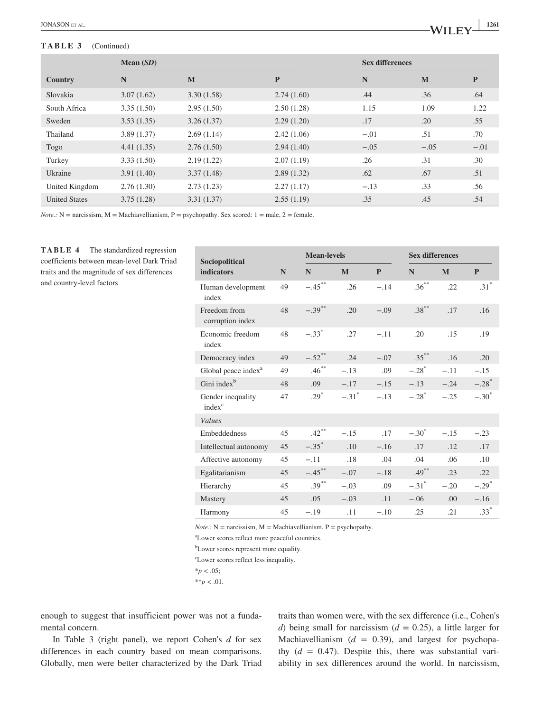#### **TABLE 3** (Continued)

|                      | Mean $(SD)$ |            |            |        | <b>Sex differences</b> |        |  |
|----------------------|-------------|------------|------------|--------|------------------------|--------|--|
| Country              | N           | M          | P          | N      | M                      | P      |  |
| Slovakia             | 3.07(1.62)  | 3.30(1.58) | 2.74(1.60) | .44    | .36                    | .64    |  |
| South Africa         | 3.35(1.50)  | 2.95(1.50) | 2.50(1.28) | 1.15   | 1.09                   | 1.22   |  |
| Sweden               | 3.53(1.35)  | 3.26(1.37) | 2.29(1.20) | .17    | .20                    | .55    |  |
| Thailand             | 3.89(1.37)  | 2.69(1.14) | 2.42(1.06) | $-.01$ | .51                    | .70    |  |
| Togo                 | 4.41(1.35)  | 2.76(1.50) | 2.94(1.40) | $-.05$ | $-.05$                 | $-.01$ |  |
| Turkey               | 3.33(1.50)  | 2.19(1.22) | 2.07(1.19) | .26    | .31                    | .30    |  |
| Ukraine              | 3.91(1.40)  | 3.37(1.48) | 2.89(1.32) | .62    | .67                    | .51    |  |
| United Kingdom       | 2.76(1.30)  | 2.73(1.23) | 2.27(1.17) | $-.13$ | .33                    | .56    |  |
| <b>United States</b> | 3.75(1.28)  | 3.31(1.37) | 2.55(1.19) | .35    | .45                    | .54    |  |

*Note.:*  $N =$  narcissism,  $M =$  Machiavellianism,  $P =$  psychopathy. Sex scored:  $1 =$  male,  $2 =$  female.

**TABLE 4** The standardized regression coefficients between mean-level Dark Triad traits and the magnitude of sex differences and country-level factors

| Sociopolitical                          |    | <b>Mean-levels</b>   |                     |        | <b>Sex differences</b> |        |                     |
|-----------------------------------------|----|----------------------|---------------------|--------|------------------------|--------|---------------------|
| <b>indicators</b>                       | N  | N                    | M                   | P      | N                      | M      | $\mathbf{P}$        |
| Human development<br>index              | 49 | $-.45$ <sup>**</sup> | .26                 | $-.14$ | $.36***$               | .22    | $.31*$              |
| Freedom from<br>corruption index        | 48 | $-.39***$            | .20                 | $-.09$ | $.38***$               | .17    | .16                 |
| Economic freedom<br>index               | 48 | $-.33*$              | .27                 | $-.11$ | .20                    | .15    | .19                 |
| Democracy index                         | 49 | $-.52$ <sup>**</sup> | .24                 | $-.07$ | $.35***$               | .16    | .20                 |
| Global peace index <sup>a</sup>         | 49 | $.46***$             | $-.13$              | .09    | $-.28$ <sup>*</sup>    | $-.11$ | $-.15$              |
| Gini index <sup>b</sup>                 | 48 | .09                  | $-.17$              | $-.15$ | $-.13$                 | $-.24$ | $-.28$ <sup>*</sup> |
| Gender inequality<br>index <sup>c</sup> | 47 | $.29*$               | $-.31$ <sup>*</sup> | $-.13$ | $-.28$ <sup>*</sup>    | $-.25$ | $-.30^*$            |
| Values                                  |    |                      |                     |        |                        |        |                     |
| Embeddedness                            | 45 | $.42***$             | $-.15$              | .17    | $-.30^*$               | $-.15$ | $-.23$              |
| Intellectual autonomy                   | 45 | $-.35^*$             | .10                 | $-.16$ | .17                    | .12    | .17                 |
| Affective autonomy                      | 45 | $-.11$               | .18                 | .04    | .04                    | .06    | .10                 |
| Egalitarianism                          | 45 | $-.45***$            | $-.07$              | $-.18$ | $.49***$               | .23    | .22                 |
| Hierarchy                               | 45 | $.39***$             | $-.03$              | .09    | $-.31$ <sup>*</sup>    | $-.20$ | $-.29^*$            |
| Mastery                                 | 45 | .05                  | $-.03$              | .11    | $-.06$                 | .00    | $-.16$              |
| Harmony                                 | 45 | $-.19$               | .11                 | $-.10$ | .25                    | .21    | $.33*$              |

 $Note.: N =$  narcissism,  $M =$  Machiavellianism,  $P =$  psychopathy.

a Lower scores reflect more peaceful countries.

b Lower scores represent more equality.

c Lower scores reflect less inequality.

 $*_{p}$  < .05;

 $*$ <sup>\*</sup> $p$  < .01.

enough to suggest that insufficient power was not a fundamental concern.

In Table 3 (right panel), we report Cohen's *d* for sex differences in each country based on mean comparisons. Globally, men were better characterized by the Dark Triad

traits than women were, with the sex difference (i.e., Cohen's *d*) being small for narcissism ( $d = 0.25$ ), a little larger for Machiavellianism  $(d = 0.39)$ , and largest for psychopathy  $(d = 0.47)$ . Despite this, there was substantial variability in sex differences around the world. In narcissism,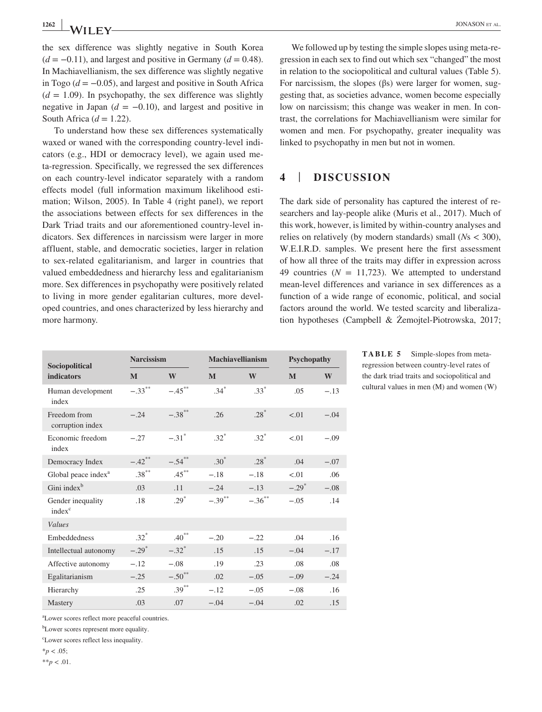the sex difference was slightly negative in South Korea  $(d = -0.11)$ , and largest and positive in Germany  $(d = 0.48)$ . In Machiavellianism, the sex difference was slightly negative in Togo ( $d = -0.05$ ), and largest and positive in South Africa  $(d = 1.09)$ . In psychopathy, the sex difference was slightly negative in Japan  $(d = -0.10)$ , and largest and positive in South Africa  $(d = 1.22)$ .

To understand how these sex differences systematically waxed or waned with the corresponding country-level indicators (e.g., HDI or democracy level), we again used meta-regression. Specifically, we regressed the sex differences on each country-level indicator separately with a random effects model (full information maximum likelihood estimation; Wilson, 2005). In Table 4 (right panel), we report the associations between effects for sex differences in the Dark Triad traits and our aforementioned country-level indicators. Sex differences in narcissism were larger in more affluent, stable, and democratic societies, larger in relation to sex-related egalitarianism, and larger in countries that valued embeddedness and hierarchy less and egalitarianism more. Sex differences in psychopathy were positively related to living in more gender egalitarian cultures, more developed countries, and ones characterized by less hierarchy and more harmony.

We followed up by testing the simple slopes using meta-regression in each sex to find out which sex "changed" the most in relation to the sociopolitical and cultural values (Table 5). For narcissism, the slopes (βs) were larger for women, suggesting that, as societies advance, women become especially low on narcissism; this change was weaker in men. In contrast, the correlations for Machiavellianism were similar for women and men. For psychopathy, greater inequality was linked to psychopathy in men but not in women.

### **4** | **DISCUSSION**

The dark side of personality has captured the interest of researchers and lay-people alike (Muris et al., 2017). Much of this work, however, is limited by within-country analyses and relies on relatively (by modern standards) small (*N*s < 300), W.E.I.R.D. samples. We present here the first assessment of how all three of the traits may differ in expression across 49 countries  $(N = 11,723)$ . We attempted to understand mean-level differences and variance in sex differences as a function of a wide range of economic, political, and social factors around the world. We tested scarcity and liberalization hypotheses (Campbell & Żemojtel-Piotrowska, 2017;

| Sociopolitical                          | <b>Narcissism</b>   |                      | <b>Machiavellianism</b> |           | Psychopathy |        |
|-----------------------------------------|---------------------|----------------------|-------------------------|-----------|-------------|--------|
| <b>indicators</b>                       | M                   | W                    | $\mathbf{M}$            | W         | M           | W      |
| Human development<br>index              | $-.33***$           | $-.45$ <sup>**</sup> | $.34*$                  | $.33*$    | .05         | $-.13$ |
| Freedom from<br>corruption index        | $-.24$              | $-.38***$            | .26                     | $.28*$    | < 0.01      | $-.04$ |
| Economic freedom<br>index               | $-.27$              | $-.31$ <sup>*</sup>  | $.32*$                  | $.32*$    | < 0.01      | $-.09$ |
| Democracy Index                         | $-.42$ **           | $-.54$ <sup>**</sup> | $.30*$                  | $.28*$    | .04         | $-.07$ |
| Global peace index <sup>a</sup>         | $.38^{\ast\ast}$    | $.45***$             | $-.18$                  | $-.18$    | < 0.01      | .06    |
| Gini index <sup>b</sup>                 | .03                 | .11                  | $-.24$                  | $-.13$    | $-.29^*$    | $-.08$ |
| Gender inequality<br>index <sup>c</sup> | .18                 | $.29*$               | $-.39$ <sup>**</sup>    | $-.36$ ** | $-.05$      | .14    |
| <b>Values</b>                           |                     |                      |                         |           |             |        |
| Embeddedness                            | $.32*$              | $.40***$             | $-.20$                  | $-.22$    | .04         | .16    |
| Intellectual autonomy                   | $-.29$ <sup>*</sup> | $-.32$ <sup>*</sup>  | .15                     | .15       | $-.04$      | $-.17$ |
| Affective autonomy                      | $-.12$              | $-.08$               | .19                     | .23       | .08         | .08    |
| Egalitarianism                          | $-.25$              | $-.50$ <sup>**</sup> | .02                     | $-.05$    | $-.09$      | $-.24$ |
| Hierarchy                               | .25                 | $.39***$             | $-.12$                  | $-.05$    | $-.08$      | .16    |
| Mastery                                 | .03                 | .07                  | $-.04$                  | $-.04$    | .02         | .15    |

**TABLE 5** Simple-slopes from metaregression between country-level rates of the dark triad traits and sociopolitical and cultural values in men (M) and women (W)

a Lower scores reflect more peaceful countries.

b Lower scores represent more equality.

c Lower scores reflect less inequality.

 $*_{p}$  < .05;

\*\**p* < .01.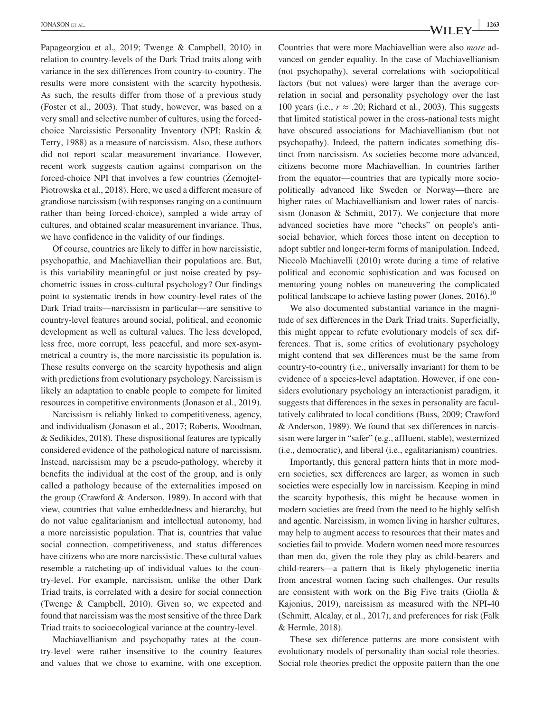Papageorgiou et al., 2019; Twenge & Campbell, 2010) in relation to country-levels of the Dark Triad traits along with variance in the sex differences from country-to-country. The results were more consistent with the scarcity hypothesis. As such, the results differ from those of a previous study (Foster et al., 2003). That study, however, was based on a very small and selective number of cultures, using the forcedchoice Narcissistic Personality Inventory (NPI; Raskin & Terry, 1988) as a measure of narcissism. Also, these authors did not report scalar measurement invariance. However, recent work suggests caution against comparison on the forced-choice NPI that involves a few countries (Żemojtel-Piotrowska et al., 2018). Here, we used a different measure of grandiose narcissism (with responses ranging on a continuum rather than being forced-choice), sampled a wide array of cultures, and obtained scalar measurement invariance. Thus, we have confidence in the validity of our findings.

Of course, countries are likely to differ in how narcissistic, psychopathic, and Machiavellian their populations are. But, is this variability meaningful or just noise created by psychometric issues in cross-cultural psychology? Our findings point to systematic trends in how country-level rates of the Dark Triad traits—narcissism in particular—are sensitive to country-level features around social, political, and economic development as well as cultural values. The less developed, less free, more corrupt, less peaceful, and more sex-asymmetrical a country is, the more narcissistic its population is. These results converge on the scarcity hypothesis and align with predictions from evolutionary psychology. Narcissism is likely an adaptation to enable people to compete for limited resources in competitive environments (Jonason et al., 2019).

Narcissism is reliably linked to competitiveness, agency, and individualism (Jonason et al., 2017; Roberts, Woodman, & Sedikides, 2018). These dispositional features are typically considered evidence of the pathological nature of narcissism. Instead, narcissism may be a pseudo-pathology, whereby it benefits the individual at the cost of the group, and is only called a pathology because of the externalities imposed on the group (Crawford & Anderson, 1989). In accord with that view, countries that value embeddedness and hierarchy, but do not value egalitarianism and intellectual autonomy, had a more narcissistic population. That is, countries that value social connection, competitiveness, and status differences have citizens who are more narcissistic. These cultural values resemble a ratcheting-up of individual values to the country-level. For example, narcissism, unlike the other Dark Triad traits, is correlated with a desire for social connection (Twenge & Campbell, 2010). Given so, we expected and found that narcissism was the most sensitive of the three Dark Triad traits to socioecological variance at the country-level.

Machiavellianism and psychopathy rates at the country-level were rather insensitive to the country features and values that we chose to examine, with one exception. Countries that were more Machiavellian were also *more* advanced on gender equality. In the case of Machiavellianism (not psychopathy), several correlations with sociopolitical factors (but not values) were larger than the average correlation in social and personality psychology over the last 100 years (i.e.,  $r \approx .20$ ; Richard et al., 2003). This suggests that limited statistical power in the cross-national tests might have obscured associations for Machiavellianism (but not psychopathy). Indeed, the pattern indicates something distinct from narcissism. As societies become more advanced, citizens become more Machiavellian. In countries farther from the equator—countries that are typically more sociopolitically advanced like Sweden or Norway—there are higher rates of Machiavellianism and lower rates of narcissism (Jonason & Schmitt, 2017). We conjecture that more advanced societies have more "checks" on people's antisocial behavior, which forces those intent on deception to adopt subtler and longer-term forms of manipulation. Indeed, Niccolò Machiavelli (2010) wrote during a time of relative political and economic sophistication and was focused on mentoring young nobles on maneuvering the complicated political landscape to achieve lasting power (Jones, 2016).<sup>10</sup>

We also documented substantial variance in the magnitude of sex differences in the Dark Triad traits. Superficially, this might appear to refute evolutionary models of sex differences. That is, some critics of evolutionary psychology might contend that sex differences must be the same from country-to-country (i.e., universally invariant) for them to be evidence of a species-level adaptation. However, if one considers evolutionary psychology an interactionist paradigm, it suggests that differences in the sexes in personality are facultatively calibrated to local conditions (Buss, 2009; Crawford & Anderson, 1989). We found that sex differences in narcissism were larger in "safer" (e.g., affluent, stable), westernized (i.e., democratic), and liberal (i.e., egalitarianism) countries.

Importantly, this general pattern hints that in more modern societies, sex differences are larger, as women in such societies were especially low in narcissism. Keeping in mind the scarcity hypothesis, this might be because women in modern societies are freed from the need to be highly selfish and agentic. Narcissism, in women living in harsher cultures, may help to augment access to resources that their mates and societies fail to provide. Modern women need more resources than men do, given the role they play as child-bearers and child-rearers—a pattern that is likely phylogenetic inertia from ancestral women facing such challenges. Our results are consistent with work on the Big Five traits (Giolla & Kajonius, 2019), narcissism as measured with the NPI-40 (Schmitt, Alcalay, et al., 2017), and preferences for risk (Falk & Hermle, 2018).

These sex difference patterns are more consistent with evolutionary models of personality than social role theories. Social role theories predict the opposite pattern than the one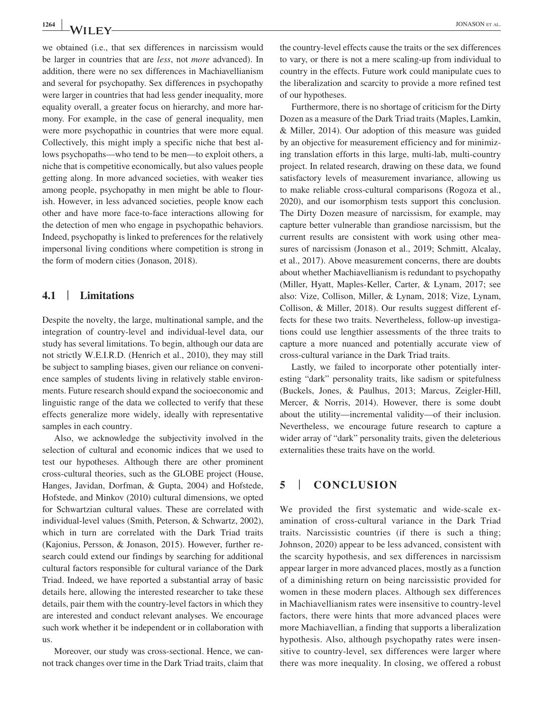we obtained (i.e., that sex differences in narcissism would be larger in countries that are *less*, not *more* advanced). In addition, there were no sex differences in Machiavellianism and several for psychopathy. Sex differences in psychopathy were larger in countries that had less gender inequality, more equality overall, a greater focus on hierarchy, and more harmony. For example, in the case of general inequality, men were more psychopathic in countries that were more equal. Collectively, this might imply a specific niche that best allows psychopaths—who tend to be men—to exploit others, a niche that is competitive economically, but also values people getting along. In more advanced societies, with weaker ties among people, psychopathy in men might be able to flourish. However, in less advanced societies, people know each other and have more face-to-face interactions allowing for the detection of men who engage in psychopathic behaviors. Indeed, psychopathy is linked to preferences for the relatively impersonal living conditions where competition is strong in the form of modern cities (Jonason, 2018).

### **4.1** | **Limitations**

Despite the novelty, the large, multinational sample, and the integration of country-level and individual-level data, our study has several limitations. To begin, although our data are not strictly W.E.I.R.D. (Henrich et al., 2010), they may still be subject to sampling biases, given our reliance on convenience samples of students living in relatively stable environments. Future research should expand the socioeconomic and linguistic range of the data we collected to verify that these effects generalize more widely, ideally with representative samples in each country.

Also, we acknowledge the subjectivity involved in the selection of cultural and economic indices that we used to test our hypotheses. Although there are other prominent cross-cultural theories, such as the GLOBE project (House, Hanges, Javidan, Dorfman, & Gupta, 2004) and Hofstede, Hofstede, and Minkov (2010) cultural dimensions, we opted for Schwartzian cultural values. These are correlated with individual-level values (Smith, Peterson, & Schwartz, 2002), which in turn are correlated with the Dark Triad traits (Kajonius, Persson, & Jonason, 2015). However, further research could extend our findings by searching for additional cultural factors responsible for cultural variance of the Dark Triad. Indeed, we have reported a substantial array of basic details here, allowing the interested researcher to take these details, pair them with the country-level factors in which they are interested and conduct relevant analyses. We encourage such work whether it be independent or in collaboration with us.

Moreover, our study was cross-sectional. Hence, we cannot track changes over time in the Dark Triad traits, claim that

the country-level effects cause the traits or the sex differences to vary, or there is not a mere scaling-up from individual to country in the effects. Future work could manipulate cues to the liberalization and scarcity to provide a more refined test of our hypotheses.

Furthermore, there is no shortage of criticism for the Dirty Dozen as a measure of the Dark Triad traits (Maples, Lamkin, & Miller, 2014). Our adoption of this measure was guided by an objective for measurement efficiency and for minimizing translation efforts in this large, multi-lab, multi-country project. In related research, drawing on these data, we found satisfactory levels of measurement invariance, allowing us to make reliable cross-cultural comparisons (Rogoza et al., 2020), and our isomorphism tests support this conclusion. The Dirty Dozen measure of narcissism, for example, may capture better vulnerable than grandiose narcissism, but the current results are consistent with work using other measures of narcissism (Jonason et al., 2019; Schmitt, Alcalay, et al., 2017). Above measurement concerns, there are doubts about whether Machiavellianism is redundant to psychopathy (Miller, Hyatt, Maples-Keller, Carter, & Lynam, 2017; see also: Vize, Collison, Miller, & Lynam, 2018; Vize, Lynam, Collison, & Miller, 2018). Our results suggest different effects for these two traits. Nevertheless, follow-up investigations could use lengthier assessments of the three traits to capture a more nuanced and potentially accurate view of cross-cultural variance in the Dark Triad traits.

Lastly, we failed to incorporate other potentially interesting "dark" personality traits, like sadism or spitefulness (Buckels, Jones, & Paulhus, 2013; Marcus, Zeigler-Hill, Mercer, & Norris, 2014). However, there is some doubt about the utility—incremental validity—of their inclusion. Nevertheless, we encourage future research to capture a wider array of "dark" personality traits, given the deleterious externalities these traits have on the world.

## **5** | **CONCLUSION**

We provided the first systematic and wide-scale examination of cross-cultural variance in the Dark Triad traits. Narcissistic countries (if there is such a thing; Johnson, 2020) appear to be less advanced, consistent with the scarcity hypothesis, and sex differences in narcissism appear larger in more advanced places, mostly as a function of a diminishing return on being narcissistic provided for women in these modern places. Although sex differences in Machiavellianism rates were insensitive to country-level factors, there were hints that more advanced places were more Machiavellian, a finding that supports a liberalization hypothesis. Also, although psychopathy rates were insensitive to country-level, sex differences were larger where there was more inequality. In closing, we offered a robust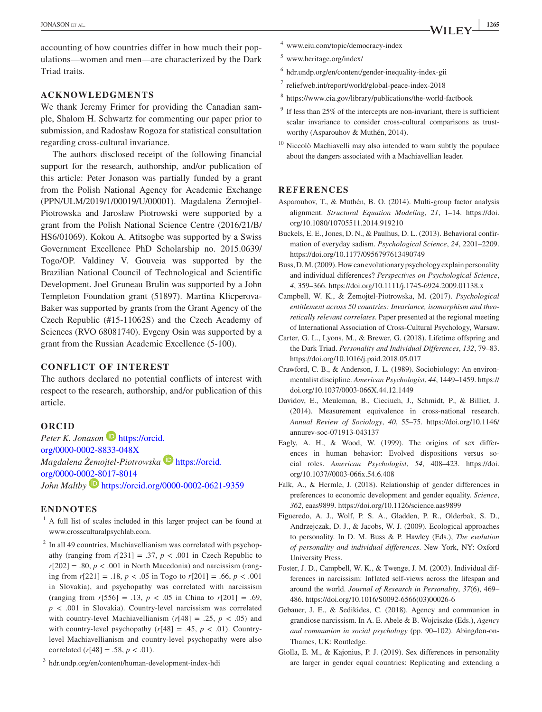accounting of how countries differ in how much their populations—women and men—are characterized by the Dark Triad traits.

#### **ACKNOWLEDGMENTS**

We thank Jeremy Frimer for providing the Canadian sample, Shalom H. Schwartz for commenting our paper prior to submission, and Radosław Rogoza for statistical consultation regarding cross-cultural invariance.

The authors disclosed receipt of the following financial support for the research, authorship, and/or publication of this article: Peter Jonason was partially funded by a grant from the Polish National Agency for Academic Exchange (PPN/ULM/2019/1/00019/U/00001). Magdalena Żemojtel-Piotrowska and Jarosław Piotrowski were supported by a grant from the Polish National Science Centre (2016/21/B/ HS6/01069). Kokou A. Atitsogbe was supported by a Swiss Government Excellence PhD Scholarship no. 2015.0639/ Togo/OP. Valdiney V. Gouveia was supported by the Brazilian National Council of Technological and Scientific Development. Joel Gruneau Brulin was supported by a John Templeton Foundation grant (51897). Martina Klicperova-Baker was supported by grants from the Grant Agency of the Czech Republic (#15-11062S) and the Czech Academy of Sciences (RVO 68081740). Evgeny Osin was supported by a grant from the Russian Academic Excellence (5-100).

#### **CONFLICT OF INTEREST**

The authors declared no potential conflicts of interest with respect to the research, authorship, and/or publication of this article.

#### **ORCID**

Peter K. Jonason<sup>D</sup> [https://orcid.](https://orcid.org/0000-0002-8833-048X) [org/0000-0002-8833-048X](https://orcid.org/0000-0002-8833-048X) *Magdalena Żemojtel-Piotrowska* **[https://orcid.](https://orcid.org/0000-0002-8017-8014)** [org/0000-0002-8017-8014](https://orcid.org/0000-0002-8017-8014) *John Maltby* **<https://orcid.org/0000-0002-0621-9359>** 

#### **ENDNOTES**

- $<sup>1</sup>$  A full list of scales included in this larger project can be found at</sup> [www.crossculturalpsychlab.com.](http://www.crossculturalpsychlab.com)
- <sup>2</sup> In all 49 countries, Machiavellianism was correlated with psychopathy (ranging from  $r[231] = .37$ ,  $p < .001$  in Czech Republic to  $r[202] = .80, p < .001$  in North Macedonia) and narcissism (ranging from *r*[221] = .18, *p* < .05 in Togo to *r*[201] = .66, *p* < .001 in Slovakia), and psychopathy was correlated with narcissism (ranging from  $r[556] = .13$ ,  $p < .05$  in China to  $r[201] = .69$ ,  $p < .001$  in Slovakia). Country-level narcissism was correlated with country-level Machiavellianism  $(r[48] = .25, p < .05)$  and with country-level psychopathy  $(r[48] = .45, p < .01)$ . Countrylevel Machiavellianism and country-level psychopathy were also correlated  $(r[48] = .58, p < .01)$ .

<sup>3</sup> [hdr.undp.org/en/content/human-development-index-hdi](http://hdr.undp.org/en/content/human-development-index-hdi)

- <sup>4</sup> [www.eiu.com/topic/democracy-index](http://www.eiu.com/topic/democracy-index)
- <sup>5</sup> [www.heritage.org/index/](http://www.heritage.org/index/)
- <sup>6</sup> [hdr.undp.org/en/content/gender-inequality-index-gii](http://hdr.undp.org/en/content/gender-inequality-index-gii)
- <sup>7</sup> [reliefweb.int/report/world/global-peace-index-2018](http://reliefweb.int/report/world/global-peace-index-2018)
- <sup>8</sup> <https://www.cia.gov/library/publications/the-world-factbook>
- $9$  If less than 25% of the intercepts are non-invariant, there is sufficient scalar invariance to consider cross-cultural comparisons as trustworthy (Asparouhov & Muthén, 2014).
- <sup>10</sup> Niccolò Machiavelli may also intended to warn subtly the populace about the dangers associated with a Machiavellian leader.

#### **REFERENCES**

- Asparouhov, T., & Muthén, B. O. (2014). Multi-group factor analysis alignment. *Structural Equation Modeling*, *21*, 1–14. [https://doi.](https://doi.org/10.1080/10705511.2014.919210) [org/10.1080/10705511.2014.919210](https://doi.org/10.1080/10705511.2014.919210)
- Buckels, E. E., Jones, D. N., & Paulhus, D. L. (2013). Behavioral confirmation of everyday sadism. *Psychological Science*, *24*, 2201–2209. <https://doi.org/10.1177/0956797613490749>
- Buss, D. M. (2009). How can evolutionary psychology explain personality and individual differences? *Perspectives on Psychological Science*, *4*, 359–366.<https://doi.org/10.1111/j.1745-6924.2009.01138.x>
- Campbell, W. K., & Żemojtel-Piotrowska, M. (2017). *Psychological entitlement across 50 countries: Invariance, isomorphism and theoretically relevant correlates*. Paper presented at the regional meeting of International Association of Cross-Cultural Psychology, Warsaw.
- Carter, G. L., Lyons, M., & Brewer, G. (2018). Lifetime offspring and the Dark Triad. *Personality and Individual Differences*, *132*, 79–83. <https://doi.org/10.1016/j.paid.2018.05.017>
- Crawford, C. B., & Anderson, J. L. (1989). Sociobiology: An environmentalist discipline. *American Psychologist*, *44*, 1449–1459. [https://](https://doi.org/10.1037/0003-066X.44.12.1449) [doi.org/10.1037/0003-066X.44.12.1449](https://doi.org/10.1037/0003-066X.44.12.1449)
- Davidov, E., Meuleman, B., Cieciuch, J., Schmidt, P., & Billiet, J. (2014). Measurement equivalence in cross-national research. *Annual Review of Sociology*, *40*, 55–75. [https://doi.org/10.1146/](https://doi.org/10.1146/annurev-soc-071913-043137) [annurev-soc-071913-043137](https://doi.org/10.1146/annurev-soc-071913-043137)
- Eagly, A. H., & Wood, W. (1999). The origins of sex differences in human behavior: Evolved dispositions versus social roles. *American Psychologist*, *54*, 408–423. [https://doi.](https://doi.org/10.1037//0003-066x.54.6.408) [org/10.1037//0003-066x.54.6.408](https://doi.org/10.1037//0003-066x.54.6.408)
- Falk, A., & Hermle, J. (2018). Relationship of gender differences in preferences to economic development and gender equality. *Science*, *362*, eaas9899. <https://doi.org/10.1126/science.aas9899>
- Figueredo, A. J., Wolf, P. S. A., Gladden, P. R., Olderbak, S. D., Andrzejczak, D. J., & Jacobs, W. J. (2009). Ecological approaches to personality. In D. M. Buss & P. Hawley (Eds.), *The evolution of personality and individual differences*. New York, NY: Oxford University Press.
- Foster, J. D., Campbell, W. K., & Twenge, J. M. (2003). Individual differences in narcissism: Inflated self-views across the lifespan and around the world. *Journal of Research in Personality*, *37*(6), 469– 486. [https://doi.org/10.1016/S0092-6566\(03\)00026-6](https://doi.org/10.1016/S0092-6566(03)00026-6)
- Gebauer, J. E., & Sedikides, C. (2018). Agency and communion in grandiose narcissism. In A. E. Abele & B. Wojciszke (Eds.), *Agency and communion in social psychology* (pp. 90–102). Abingdon-on-Thames, UK: Routledge.
- Giolla, E. M., & Kajonius, P. J. (2019). Sex differences in personality are larger in gender equal countries: Replicating and extending a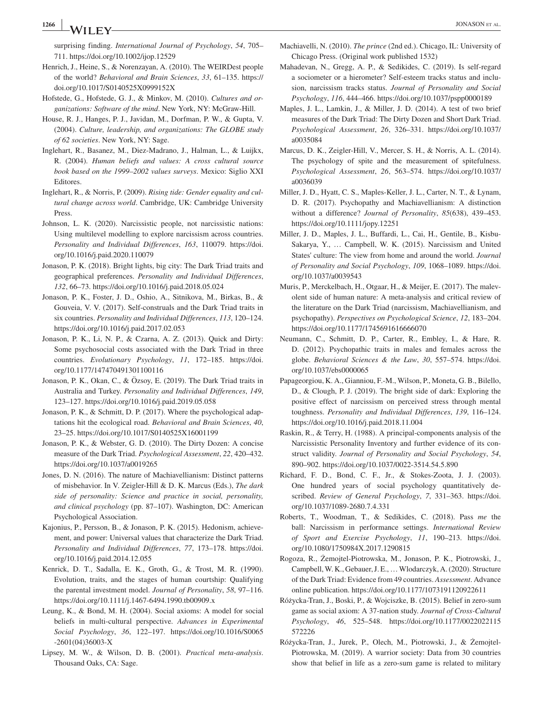**<sup>1266</sup> <sup>|</sup>** JONASON et al.

surprising finding. *International Journal of Psychology*, *54*, 705– 711.<https://doi.org/10.1002/ijop.12529>

- Henrich, J., Heine, S., & Norenzayan, A. (2010). The WEIRDest people of the world? *Behavioral and Brain Sciences*, *33*, 61–135. [https://](https://doi.org/10.1017/S0140525X0999152X) [doi.org/10.1017/S0140525X0999152X](https://doi.org/10.1017/S0140525X0999152X)
- Hofstede, G., Hofstede, G. J., & Minkov, M. (2010). *Cultures and organizations: Software of the mind*. New York, NY: McGraw-Hill.
- House, R. J., Hanges, P. J., Javidan, M., Dorfman, P. W., & Gupta, V. (2004). *Culture, leadership, and organizations: The GLOBE study of 62 societies*. New York, NY: Sage.
- Inglehart, R., Basanez, M., Diez-Madrano, J., Halman, L., & Luijkx, R. (2004). *Human beliefs and values: A cross cultural source book based on the 1999–2002 values surveys*. Mexico: Siglio XXI Editores.
- Inglehart, R., & Norris, P. (2009). *Rising tide: Gender equality and cultural change across world*. Cambridge, UK: Cambridge University Press.
- Johnson, L. K. (2020). Narcissistic people, not narcissistic nations: Using multilevel modelling to explore narcissism across countries. *Personality and Individual Differences*, *163*, 110079. [https://doi.](https://doi.org/10.1016/j.paid.2020.110079) [org/10.1016/j.paid.2020.110079](https://doi.org/10.1016/j.paid.2020.110079)
- Jonason, P. K. (2018). Bright lights, big city: The Dark Triad traits and geographical preferences. *Personality and Individual Differences*, *132*, 66–73. <https://doi.org/10.1016/j.paid.2018.05.024>
- Jonason, P. K., Foster, J. D., Oshio, A., Sitnikova, M., Birkas, B., & Gouveia, V. V. (2017). Self-construals and the Dark Triad traits in six countries. *Personality and Individual Differences*, *113*, 120–124. <https://doi.org/10.1016/j.paid.2017.02.053>
- Jonason, P. K., Li, N. P., & Czarna, A. Z. (2013). Quick and Dirty: Some psychosocial costs associated with the Dark Triad in three countries. *Evolutionary Psychology*, *11*, 172–185. [https://doi.](https://doi.org/10.1177/147470491301100116) [org/10.1177/147470491301100116](https://doi.org/10.1177/147470491301100116)
- Jonason, P. K., Okan, C., & Özsoy, E. (2019). The Dark Triad traits in Australia and Turkey. *Personality and Individual Differences*, *149*, 123–127.<https://doi.org/10.1016/j.paid.2019.05.058>
- Jonason, P. K., & Schmitt, D. P. (2017). Where the psychological adaptations hit the ecological road. *Behavioral and Brain Sciences*, *40*, 23–25. <https://doi.org/10.1017/S0140525X16001199>
- Jonason, P. K., & Webster, G. D. (2010). The Dirty Dozen: A concise measure of the Dark Triad. *Psychological Assessment*, *22*, 420–432. <https://doi.org/10.1037/a0019265>
- Jones, D. N. (2016). The nature of Machiavellianism: Distinct patterns of misbehavior. In V. Zeigler-Hill & D. K. Marcus (Eds.), *The dark side of personality: Science and practice in social, personality, and clinical psychology* (pp. 87–107). Washington, DC: American Psychological Association.
- Kajonius, P., Persson, B., & Jonason, P. K. (2015). Hedonism, achievement, and power: Universal values that characterize the Dark Triad. *Personality and Individual Differences*, *77*, 173–178. [https://doi.](https://doi.org/10.1016/j.paid.2014.12.055) [org/10.1016/j.paid.2014.12.055](https://doi.org/10.1016/j.paid.2014.12.055)
- Kenrick, D. T., Sadalla, E. K., Groth, G., & Trost, M. R. (1990). Evolution, traits, and the stages of human courtship: Qualifying the parental investment model. *Journal of Personality*, *58*, 97–116. <https://doi.org/10.1111/j.1467-6494.1990.tb00909.x>
- Leung, K., & Bond, M. H. (2004). Social axioms: A model for social beliefs in multi-cultural perspective. *Advances in Experimental Social Psychology*, *36*, 122–197. [https://doi.org/10.1016/S0065](https://doi.org/10.1016/S0065-2601(04)36003-X) [-2601\(04\)36003-X](https://doi.org/10.1016/S0065-2601(04)36003-X)
- Lipsey, M. W., & Wilson, D. B. (2001). *Practical meta-analysis*. Thousand Oaks, CA: Sage.
- Machiavelli, N. (2010). *The prince* (2nd ed.). Chicago, IL: University of Chicago Press. (Original work published 1532)
- Mahadevan, N., Gregg, A. P., & Sedikides, C. (2019). Is self-regard a sociometer or a hierometer? Self-esteem tracks status and inclusion, narcissism tracks status. *Journal of Personality and Social Psychology*, *116*, 444–466. <https://doi.org/10.1037/pspp0000189>
- Maples, J. L., Lamkin, J., & Miller, J. D. (2014). A test of two brief measures of the Dark Triad: The Dirty Dozen and Short Dark Triad. *Psychological Assessment*, *26*, 326–331. [https://doi.org/10.1037/](https://doi.org/10.1037/a0035084) [a0035084](https://doi.org/10.1037/a0035084)
- Marcus, D. K., Zeigler-Hill, V., Mercer, S. H., & Norris, A. L. (2014). The psychology of spite and the measurement of spitefulness. *Psychological Assessment*, *26*, 563–574. [https://doi.org/10.1037/](https://doi.org/10.1037/a0036039) [a0036039](https://doi.org/10.1037/a0036039)
- Miller, J. D., Hyatt, C. S., Maples-Keller, J. L., Carter, N. T., & Lynam, D. R. (2017). Psychopathy and Machiavellianism: A distinction without a difference? *Journal of Personality*, *85*(638), 439–453. <https://doi.org/10.1111/jopy.12251>
- Miller, J. D., Maples, J. L., Buffardi, L., Cai, H., Gentile, B., Kisbu-Sakarya, Y., … Campbell, W. K. (2015). Narcissism and United States' culture: The view from home and around the world. *Journal of Personality and Social Psychology*, *109*, 1068–1089. [https://doi.](https://doi.org/10.1037/a0039543) [org/10.1037/a0039543](https://doi.org/10.1037/a0039543)
- Muris, P., Merckelbach, H., Otgaar, H., & Meijer, E. (2017). The malevolent side of human nature: A meta-analysis and critical review of the literature on the Dark Triad (narcissism, Machiavellianism, and psychopathy). *Perspectives on Psychological Science*, *12*, 183–204. <https://doi.org/10.1177/1745691616666070>
- Neumann, C., Schmitt, D. P., Carter, R., Embley, I., & Hare, R. D. (2012). Psychopathic traits in males and females across the globe. *Behavioral Sciences & the Law*, *30*, 557–574. [https://doi.](https://doi.org/10.1037/ebs0000065) [org/10.1037/ebs0000065](https://doi.org/10.1037/ebs0000065)
- Papageorgiou, K. A., Gianniou, F.-M., Wilson, P., Moneta, G. B., Bilello, D., & Clough, P. J. (2019). The bright side of dark: Exploring the positive effect of narcissism on perceived stress through mental toughness. *Personality and Individual Differences*, *139*, 116–124. <https://doi.org/10.1016/j.paid.2018.11.004>
- Raskin, R., & Terry, H. (1988). A principal-components analysis of the Narcissistic Personality Inventory and further evidence of its construct validity. *Journal of Personality and Social Psychology*, *54*, 890–902. <https://doi.org/10.1037/0022-3514.54.5.890>
- Richard, F. D., Bond, C. F., Jr., & Stokes-Zoota, J. J. (2003). One hundred years of social psychology quantitatively described. *Review of General Psychology*, *7*, 331–363. [https://doi.](https://doi.org/10.1037/1089-2680.7.4.331) [org/10.1037/1089-2680.7.4.331](https://doi.org/10.1037/1089-2680.7.4.331)
- Roberts, T., Woodman, T., & Sedikides, C. (2018). Pass *me* the ball: Narcissism in performance settings. *International Review of Sport and Exercise Psychology*, *11*, 190–213. [https://doi.](https://doi.org/10.1080/1750984X.2017.1290815) [org/10.1080/1750984X.2017.1290815](https://doi.org/10.1080/1750984X.2017.1290815)
- Rogoza, R., Żemojtel-Piotrowska, M., Jonason, P. K., Piotrowski, J., Campbell, W. K., Gebauer, J. E., … Wlodarczyk, A. (2020). Structure of the Dark Triad: Evidence from 49 countries. *Assessment*. Advance online publication.<https://doi.org/10.1177/1073191120922611>
- Różycka-Tran, J., Boski, P., & Wojciszke, B. (2015). Belief in zero-sum game as social axiom: A 37-nation study. *Journal of Cross-Cultural Psychology*, *46*, 525–548. [https://doi.org/10.1177/0022022115](https://doi.org/10.1177/0022022115572226) [572226](https://doi.org/10.1177/0022022115572226)
- Różycka-Tran, J., Jurek, P., Olech, M., Piotrowski, J., & Żemojtel-Piotrowska, M. (2019). A warrior society: Data from 30 countries show that belief in life as a zero-sum game is related to military